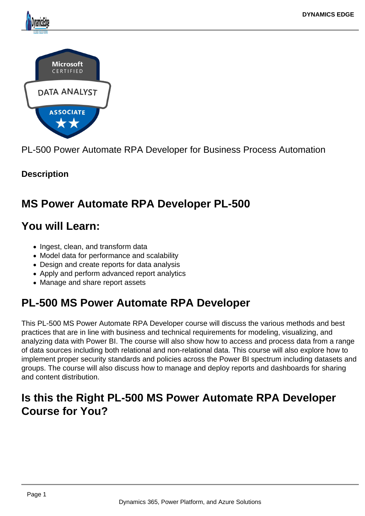

PL-500 Power Automate RPA Developer for Business Process Automation

# **Description**

# **MS Power Automate RPA Developer PL-500**

# **You will Learn:**

- Ingest, clean, and transform data
- Model data for performance and scalability
- Design and create reports for data analysis
- Apply and perform advanced report analytics
- Manage and share report assets

# **PL-500 MS Power Automate RPA Developer**

This PL-500 MS Power Automate RPA Developer course will discuss the various methods and best practices that are in line with business and technical requirements for modeling, visualizing, and analyzing data with Power BI. The course will also show how to access and process data from a range of data sources including both relational and non-relational data. This course will also explore how to implement proper security standards and policies across the Power BI spectrum including datasets and groups. The course will also discuss how to manage and deploy reports and dashboards for sharing and content distribution.

# **Is this the Right PL-500 MS Power Automate RPA Developer Course for You?**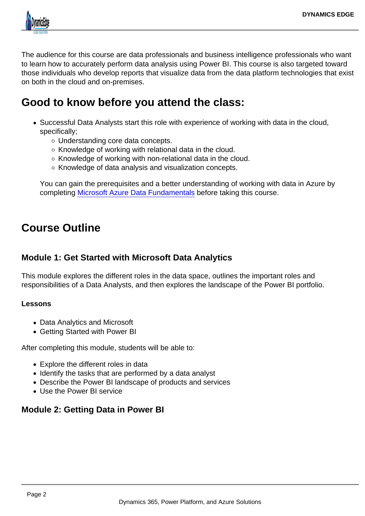The audience for this course are data professionals and business intelligence professionals who want to learn how to accurately perform data analysis using Power BI. This course is also targeted toward those individuals who develop reports that visualize data from the data platform technologies that exist on both in the cloud and on-premises.

# Good to know before you attend the class:

- Successful Data Analysts start this role with experience of working with data in the cloud, specifically;
	- Understanding core data concepts.
	- $\circ$  Knowledge of working with relational data in the cloud.
	- $\circ$  Knowledge of working with non-relational data in the cloud.
	- $\circ$  Knowledge of data analysis and visualization concepts.

You can gain the prerequisites and a better understanding of working with data in Azure by completing [Microsoft Azure Data Fundamentals](https://docs.microsoft.com/en-us/learn/certifications/azure-data-fundamentals/) before taking this course.

# Course Outline

## Module 1: Get Started with Microsoft Data Analytics

This module explores the different roles in the data space, outlines the important roles and responsibilities of a Data Analysts, and then explores the landscape of the Power BI portfolio.

Lessons

- Data Analytics and Microsoft
- Getting Started with Power BI

After completing this module, students will be able to:

- Explore the different roles in data
- Identify the tasks that are performed by a data analyst
- Describe the Power BI landscape of products and services
- Use the Power BI service

### Module 2: Getting Data in Power BI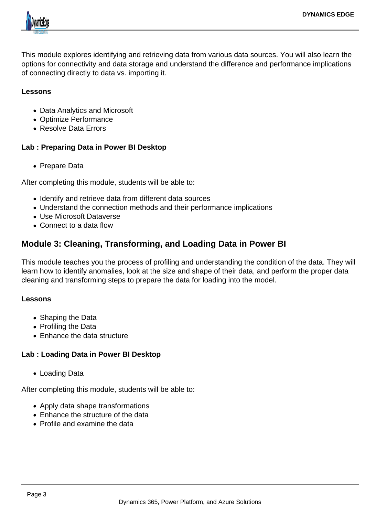

This module explores identifying and retrieving data from various data sources. You will also learn the options for connectivity and data storage and understand the difference and performance implications of connecting directly to data vs. importing it.

#### **Lessons**

- Data Analytics and Microsoft
- Optimize Performance
- Resolve Data Errors

#### **Lab : Preparing Data in Power BI Desktop**

Prepare Data

After completing this module, students will be able to:

- Identify and retrieve data from different data sources
- Understand the connection methods and their performance implications
- Use Microsoft Dataverse
- Connect to a data flow

# **Module 3: Cleaning, Transforming, and Loading Data in Power BI**

This module teaches you the process of profiling and understanding the condition of the data. They will learn how to identify anomalies, look at the size and shape of their data, and perform the proper data cleaning and transforming steps to prepare the data for loading into the model.

#### **Lessons**

- Shaping the Data
- Profiling the Data
- Enhance the data structure

### **Lab : Loading Data in Power BI Desktop**

Loading Data

After completing this module, students will be able to:

- Apply data shape transformations
- Enhance the structure of the data
- Profile and examine the data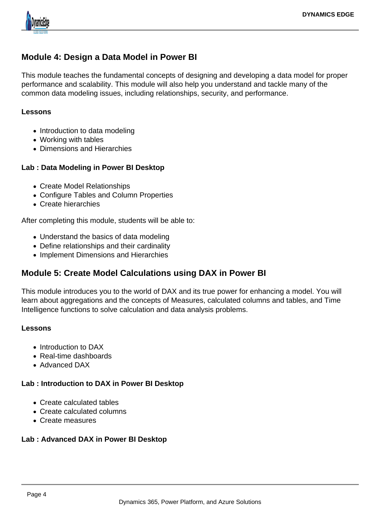

# **Module 4: Design a Data Model in Power BI**

This module teaches the fundamental concepts of designing and developing a data model for proper performance and scalability. This module will also help you understand and tackle many of the common data modeling issues, including relationships, security, and performance.

#### **Lessons**

- Introduction to data modeling
- Working with tables
- Dimensions and Hierarchies

### **Lab : Data Modeling in Power BI Desktop**

- Create Model Relationships
- Configure Tables and Column Properties
- Create hierarchies

After completing this module, students will be able to:

- Understand the basics of data modeling
- Define relationships and their cardinality
- Implement Dimensions and Hierarchies

# **Module 5: Create Model Calculations using DAX in Power BI**

This module introduces you to the world of DAX and its true power for enhancing a model. You will learn about aggregations and the concepts of Measures, calculated columns and tables, and Time Intelligence functions to solve calculation and data analysis problems.

#### **Lessons**

- Introduction to DAX
- Real-time dashboards
- Advanced DAX

### **Lab : Introduction to DAX in Power BI Desktop**

- Create calculated tables
- Create calculated columns
- Create measures

#### **Lab : Advanced DAX in Power BI Desktop**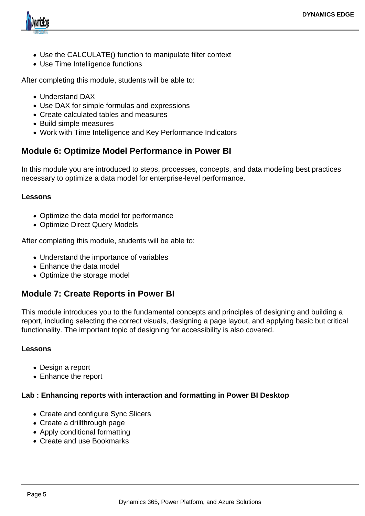

- Use the CALCULATE() function to manipulate filter context
- Use Time Intelligence functions

After completing this module, students will be able to:

- Understand DAX
- Use DAX for simple formulas and expressions
- Create calculated tables and measures
- Build simple measures
- Work with Time Intelligence and Key Performance Indicators

## **Module 6: Optimize Model Performance in Power BI**

In this module you are introduced to steps, processes, concepts, and data modeling best practices necessary to optimize a data model for enterprise-level performance.

#### **Lessons**

- Optimize the data model for performance
- Optimize Direct Query Models

After completing this module, students will be able to:

- Understand the importance of variables
- Enhance the data model
- Optimize the storage model

## **Module 7: Create Reports in Power BI**

This module introduces you to the fundamental concepts and principles of designing and building a report, including selecting the correct visuals, designing a page layout, and applying basic but critical functionality. The important topic of designing for accessibility is also covered.

#### **Lessons**

- Design a report
- Enhance the report

#### **Lab : Enhancing reports with interaction and formatting in Power BI Desktop**

- Create and configure Sync Slicers
- Create a drillthrough page
- Apply conditional formatting
- Create and use Bookmarks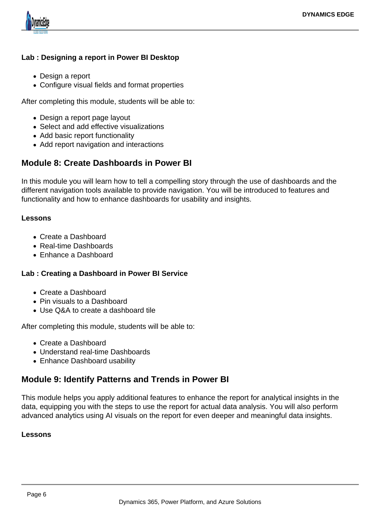

## **Lab : Designing a report in Power BI Desktop**

- Design a report
- Configure visual fields and format properties

After completing this module, students will be able to:

- Design a report page layout
- Select and add effective visualizations
- Add basic report functionality
- Add report navigation and interactions

# **Module 8: Create Dashboards in Power BI**

In this module you will learn how to tell a compelling story through the use of dashboards and the different navigation tools available to provide navigation. You will be introduced to features and functionality and how to enhance dashboards for usability and insights.

#### **Lessons**

- Create a Dashboard
- Real-time Dashboards
- Enhance a Dashboard

### **Lab : Creating a Dashboard in Power BI Service**

- Create a Dashboard
- Pin visuals to a Dashboard
- Use Q&A to create a dashboard tile

After completing this module, students will be able to:

- Create a Dashboard
- Understand real-time Dashboards
- Enhance Dashboard usability

# **Module 9: Identify Patterns and Trends in Power BI**

This module helps you apply additional features to enhance the report for analytical insights in the data, equipping you with the steps to use the report for actual data analysis. You will also perform advanced analytics using AI visuals on the report for even deeper and meaningful data insights.

#### **Lessons**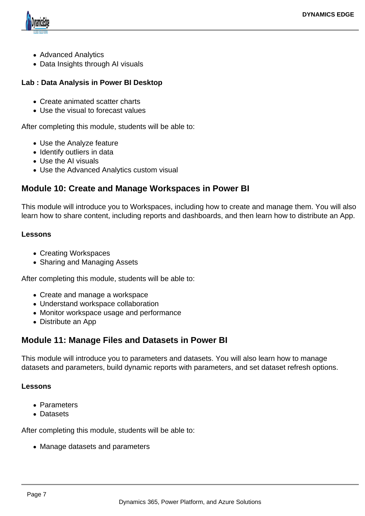

- Advanced Analytics
- Data Insights through AI visuals

## **Lab : Data Analysis in Power BI Desktop**

- Create animated scatter charts
- Use the visual to forecast values

After completing this module, students will be able to:

- Use the Analyze feature
- Identify outliers in data
- Use the AI visuals
- Use the Advanced Analytics custom visual

# **Module 10: Create and Manage Workspaces in Power BI**

This module will introduce you to Workspaces, including how to create and manage them. You will also learn how to share content, including reports and dashboards, and then learn how to distribute an App.

#### **Lessons**

- Creating Workspaces
- Sharing and Managing Assets

After completing this module, students will be able to:

- Create and manage a workspace
- Understand workspace collaboration
- Monitor workspace usage and performance
- Distribute an App

# **Module 11: Manage Files and Datasets in Power BI**

This module will introduce you to parameters and datasets. You will also learn how to manage datasets and parameters, build dynamic reports with parameters, and set dataset refresh options.

#### **Lessons**

- Parameters
- Datasets

After completing this module, students will be able to:

• Manage datasets and parameters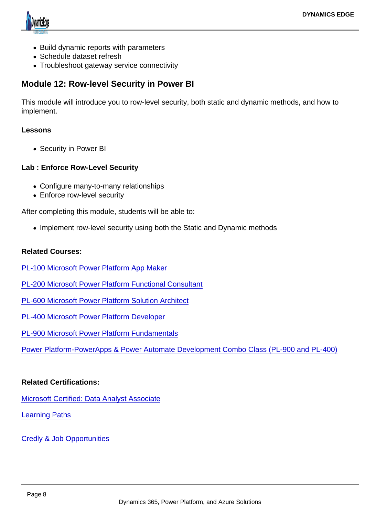- Build dynamic reports with parameters
- Schedule dataset refresh
- Troubleshoot gateway service connectivity

Module 12: Row-level Security in Power BI

This module will introduce you to row-level security, both static and dynamic methods, and how to implement.

Lessons

• Security in Power BI

Lab : Enforce Row-Level Security

- Configure many-to-many relationships
- Enforce row-level security

After completing this module, students will be able to:

• Implement row-level security using both the Static and Dynamic methods

Related Courses:

[PL-100 Microsoft Power Platform App Maker](https://www.dynamicsedge.com/product/citizen-developer-power-platform-app-maker-for-government-analysts-pl-100/)

- [PL-200 Microsoft Power Platform Functional Consultant](https://www.dynamicsedge.com/product/pl-200-power-platform-developer-and-consultant/)
- [PL-600 Microsoft Power Platform Solution Architect](https://www.dynamicsedge.com/product/pl-600-power-platform-solution-architect/)
- [PL-400 Microsoft Power Platform Developer](https://www.dynamicsedge.com/product/pl-400-power-platform-advanced-developer-with-visual-studio/)

[PL-900 Microsoft Power Platform Fundamentals](https://www.dynamicsedge.com/product/pl-900-microsoft-power-platform-fundamentals/)

[Power Platform-PowerApps & Power Automate Development Combo Class \(PL-900 and PL-400\)](https://www.dynamicsedge.com/product/power-platform-powerapps-power-automate-development-combo-class-pl-900-and-pl-400/)

Related Certifications:

[Microsoft Certified: Data Analyst Associate](https://docs.microsoft.com/en-us/learn/certifications/data-analyst-associate/)

[Learning Paths](https://docs.microsoft.com/en-us/learn/paths/data-analytics-microsoft/)

[Credly & Job Opportunities](https://www.credly.com/org/microsoft-certification/badge/microsoft-certified-data-analyst-associate.1)